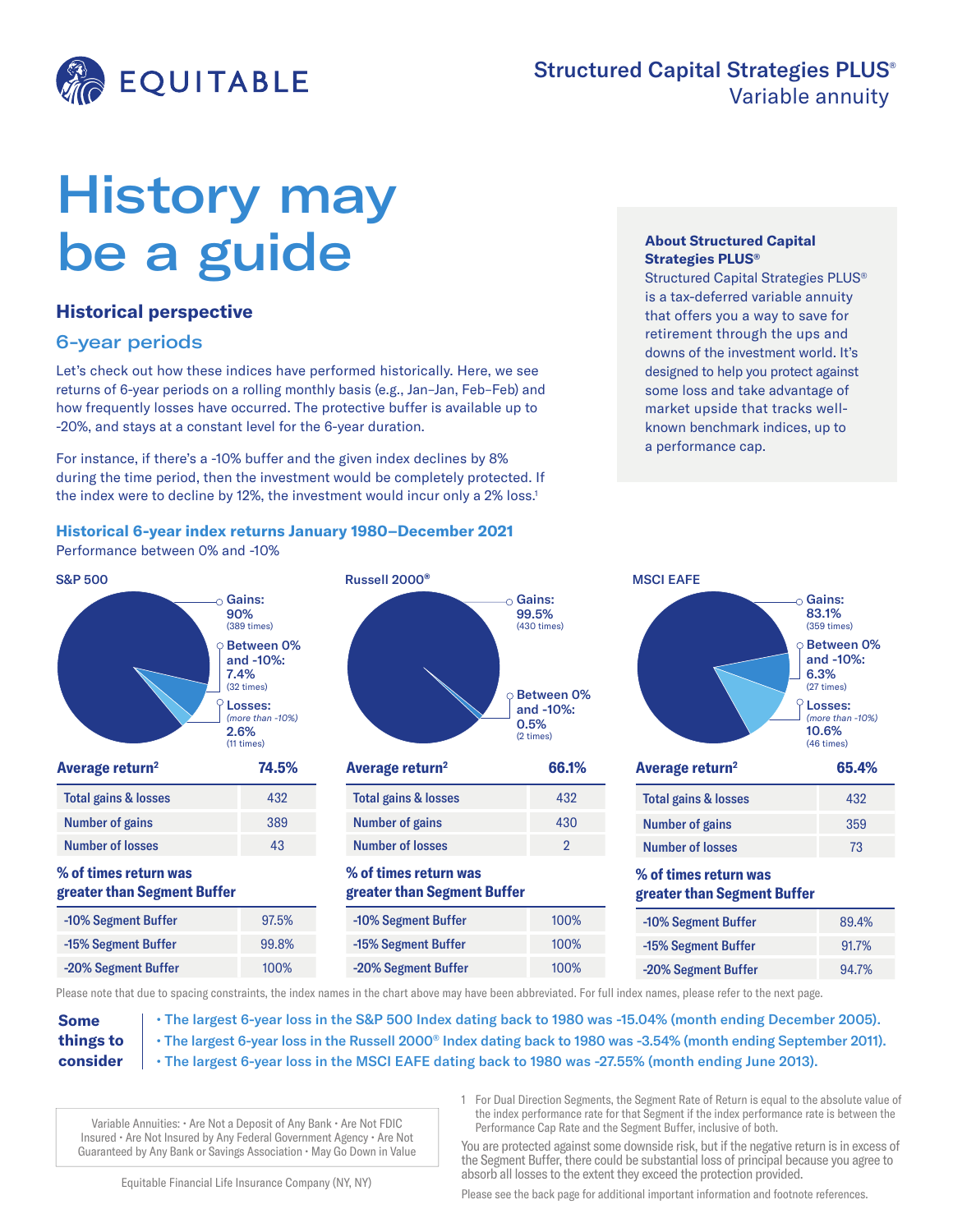

# History may be a guide

## **Historical perspective**

# 6-year periods

Let's check out how these indices have performed historically. Here, we see returns of 6-year periods on a rolling monthly basis (e.g., Jan–Jan, Feb–Feb) and how frequently losses have occurred. The protective buffer is available up to -20%, and stays at a constant level for the 6-year duration.

For instance, if there's a -10% buffer and the given index declines by 8% during the time period, then the investment would be completely protected. If the index were to decline by 12%, the investment would incur only a 2% loss.<sup>1</sup>

#### **Historical 6-year index returns January 1980–December 2021**

Performance between 0% and -10%





| Average return <sup>2</sup>     | 66.1% |
|---------------------------------|-------|
| <b>Total gains &amp; losses</b> | 432   |
| <b>Number of gains</b>          | 430   |
| <b>Number of losses</b>         | 2     |
|                                 |       |

## **% of times return was greater than Segment Buffer**

| 6 | -10% Segment Buffer | 100% |
|---|---------------------|------|
| ‰ | -15% Segment Buffer | 100% |
|   | -20% Segment Buffer | 100% |

#### **About Structured Capital Strategies PLUS®**

Structured Capital Strategies PLUS® is a tax-deferred variable annuity that offers you a way to save for retirement through the ups and downs of the investment world. It's designed to help you protect against some loss and take advantage of market upside that tracks wellknown benchmark indices, up to a performance cap.

| <b>MSCI EAFE</b>                                     |                                                                                                            |
|------------------------------------------------------|------------------------------------------------------------------------------------------------------------|
|                                                      | Gains:<br>83.1%<br>(359 times)                                                                             |
|                                                      | <b>Between 0%</b><br>and -10%:<br>6.3%<br>(27 times)<br>Losses:<br>(more than -10%)<br>10.6%<br>(46 times) |
|                                                      |                                                                                                            |
| Average return <sup>2</sup>                          | 65.4%                                                                                                      |
| Total gains & losses                                 | 432                                                                                                        |
| <b>Number of gains</b>                               | 359                                                                                                        |
| <b>Number of losses</b>                              | 73                                                                                                         |
| % of times return was<br>greater than Segment Buffer |                                                                                                            |

-15% Segment Buffer 91.7% -20% Segment Buffer 94.7%

Please note that due to spacing constraints, the index names in the chart above may have been abbreviated. For full index names, please refer to the next page.

**Some things to consider**

- The largest 6-year loss in the S&P 500 Index dating back to 1980 was -15.04% (month ending December 2005). • The largest 6-year loss in the Russell 2000® Index dating back to 1980 was -3.54% (month ending September 2011).
- The largest 6-year loss in the MSCI EAFE dating back to 1980 was -27.55% (month ending June 2013).

Variable Annuities: • Are Not a Deposit of Any Bank • Are Not FDIC Insured • Are Not Insured by Any Federal Government Agency • Are Not Guaranteed by Any Bank or Savings Association • May Go Down in Value 1 For Dual Direction Segments, the Segment Rate of Return is equal to the absolute value of the index performance rate for that Segment if the index performance rate is between the Performance Cap Rate and the Segment Buffer, inclusive of both.

You are protected against some downside risk, but if the negative return is in excess of the Segment Buffer, there could be substantial loss of principal because you agree to absorb all losses to the extent they exceed the protection provided.